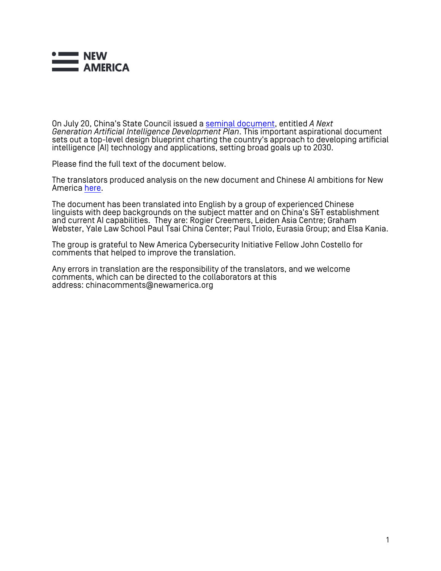

On July 20, China's State Council issued a [seminal document](http://www.gov.cn/zhengce/content/2017-07/20/content_5211996.htm), entitled *A Next Generation Artificial Intelligence Development Plan*. This important aspirational document sets out a top-level design blueprint charting the country's approach to developing artificial intelligence (AI) technology and applications, setting broad goals up to 2030.

Please find the full text of the document below.

The translators produced analysis on the new document and Chinese AI ambitions for New America [here](https://www.newamerica.org/cybersecurity-initiative/blog/chinas-plan-lead-ai-purpose-prospects-and-problems/).

The document has been translated into English by a group of experienced Chinese linguists with deep backgrounds on the subject matter and on China's S&T establishment and current AI capabilities. They are: Rogier Creemers, Leiden Asia Centre; Graham Webster, Yale Law School Paul Tsai China Center; Paul Triolo, Eurasia Group; and Elsa Kania.

The group is grateful to New America Cybersecurity Initiative Fellow John Costello for comments that helped to improve the translation.

Any errors in translation are the responsibility of the translators, and we welcome comments, which can be directed to the collaborators at this address: chinacomments@newamerica.org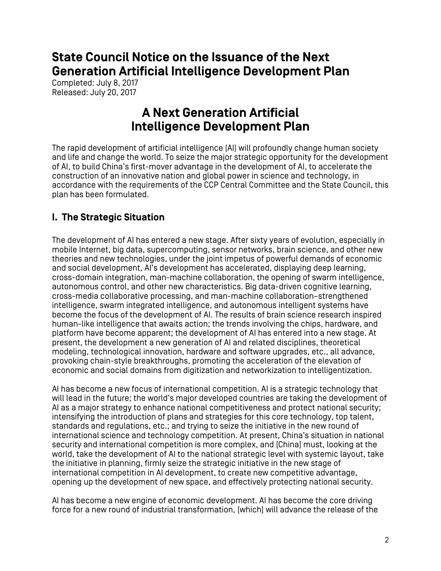**State Council Notice on the Issuance of the Next Generation Artificial Intelligence Development Plan**

Completed: July 8, 2017 Released: July 20, 2017

# **A Next Generation Artificial Intelligence Development Plan**

The rapid development of artificial intelligence (AI) will profoundly change human society and life and change the world. To seize the major strategic opportunity for the development of AI, to build China's first-mover advantage in the development of AI, to accelerate the construction of an innovative nation and global power in science and technology, in accordance with the requirements of the CCP Central Committee and the State Council, this plan has been formulated.

### **I. The Strategic Situation**

The development of AI has entered a new stage. After sixty years of evolution, especially in mobile Internet, big data, supercomputing, sensor networks, brain science, and other new theories and new technologies, under the joint impetus of powerful demands of economic and social development, AI's development has accelerated, displaying deep learning, cross-domain integration, man-machine collaboration, the opening of swarm intelligence, autonomous control, and other new characteristics. Big data-driven cognitive learning, cross-media collaborative processing, and man-machine collaboration–strengthened intelligence, swarm integrated intelligence, and autonomous intelligent systems have become the focus of the development of AI. The results of brain science research inspired human-like intelligence that awaits action; the trends involving the chips, hardware, and platform have become apparent; the development of AI has entered into a new stage. At present, the development a new generation of AI and related disciplines, theoretical modeling, technological innovation, hardware and software upgrades, etc., all advance, provoking chain-style breakthroughs, promoting the acceleration of the elevation of economic and social domains from digitization and networkization to intelligentization.

AI has become a new focus of international competition. AI is a strategic technology that will lead in the future; the world's major developed countries are taking the development of AI as a major strategy to enhance national competitiveness and protect national security; intensifying the introduction of plans and strategies for this core technology, top talent, standards and regulations, etc.; and trying to seize the initiative in the new round of international science and technology competition. At present, China's situation in national security and international competition is more complex, and [China] must, looking at the world, take the development of AI to the national strategic level with systemic layout, take the initiative in planning, firmly seize the strategic initiative in the new stage of international competition in AI development, to create new competitive advantage, opening up the development of new space, and effectively protecting national security.

AI has become a new engine of economic development. AI has become the core driving force for a new round of industrial transformation, [which] will advance the release of the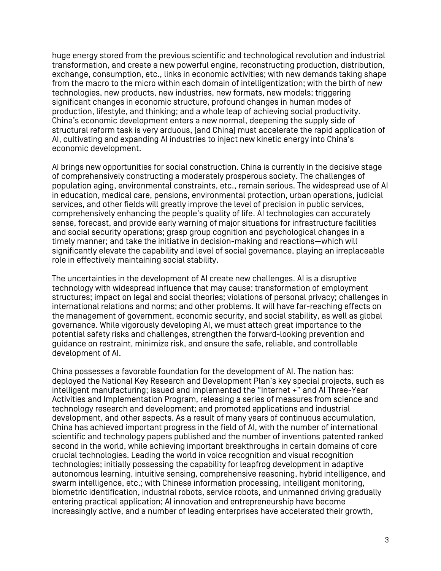huge energy stored from the previous scientific and technological revolution and industrial transformation, and create a new powerful engine, reconstructing production, distribution, exchange, consumption, etc., links in economic activities; with new demands taking shape from the macro to the micro within each domain of intelligentization; with the birth of new technologies, new products, new industries, new formats, new models; triggering significant changes in economic structure, profound changes in human modes of production, lifestyle, and thinking; and a whole leap of achieving social productivity. China's economic development enters a new normal, deepening the supply side of structural reform task is very arduous, [and China] must accelerate the rapid application of AI, cultivating and expanding AI industries to inject new kinetic energy into China's economic development.

AI brings new opportunities for social construction. China is currently in the decisive stage of comprehensively constructing a moderately prosperous society. The challenges of population aging, environmental constraints, etc., remain serious. The widespread use of AI in education, medical care, pensions, environmental protection, urban operations, judicial services, and other fields will greatly improve the level of precision in public services, comprehensively enhancing the people's quality of life. AI technologies can accurately sense, forecast, and provide early warning of major situations for infrastructure facilities and social security operations; grasp group cognition and psychological changes in a timely manner; and take the initiative in decision-making and reactions—which will significantly elevate the capability and level of social governance, playing an irreplaceable role in effectively maintaining social stability.

The uncertainties in the development of AI create new challenges. AI is a disruptive technology with widespread influence that may cause: transformation of employment structures; impact on legal and social theories; violations of personal privacy; challenges in international relations and norms; and other problems. It will have far-reaching effects on the management of government, economic security, and social stability, as well as global governance. While vigorously developing AI, we must attach great importance to the potential safety risks and challenges, strengthen the forward-looking prevention and guidance on restraint, minimize risk, and ensure the safe, reliable, and controllable development of AI.

China possesses a favorable foundation for the development of AI. The nation has: deployed the National Key Research and Development Plan's key special projects, such as intelligent manufacturing; issued and implemented the "Internet +" and AI Three-Year Activities and Implementation Program, releasing a series of measures from science and technology research and development; and promoted applications and industrial development, and other aspects. As a result of many years of continuous accumulation, China has achieved important progress in the field of AI, with the number of international scientific and technology papers published and the number of inventions patented ranked second in the world, while achieving important breakthroughs in certain domains of core crucial technologies. Leading the world in voice recognition and visual recognition technologies; initially possessing the capability for leapfrog development in adaptive autonomous learning, intuitive sensing, comprehensive reasoning, hybrid intelligence, and swarm intelligence, etc.; with Chinese information processing, intelligent monitoring, biometric identification, industrial robots, service robots, and unmanned driving gradually entering practical application; AI innovation and entrepreneurship have become increasingly active, and a number of leading enterprises have accelerated their growth,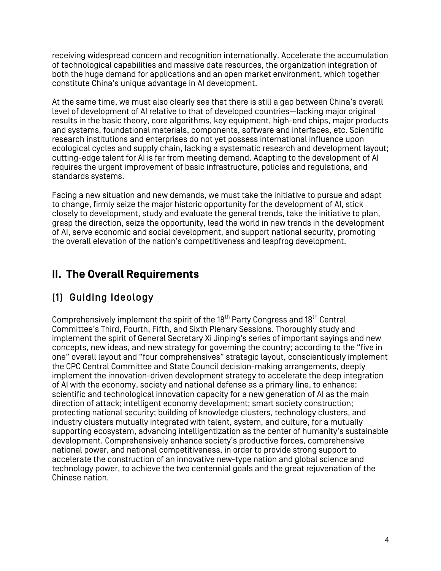receiving widespread concern and recognition internationally. Accelerate the accumulation of technological capabilities and massive data resources, the organization integration of both the huge demand for applications and an open market environment, which together constitute China's unique advantage in AI development.

At the same time, we must also clearly see that there is still a gap between China's overall level of development of AI relative to that of developed countries—lacking major original results in the basic theory, core algorithms, key equipment, high-end chips, major products and systems, foundational materials, components, software and interfaces, etc. Scientific research institutions and enterprises do not yet possess international influence upon ecological cycles and supply chain, lacking a systematic research and development layout; cutting-edge talent for AI is far from meeting demand. Adapting to the development of AI requires the urgent improvement of basic infrastructure, policies and regulations, and standards systems.

Facing a new situation and new demands, we must take the initiative to pursue and adapt to change, firmly seize the major historic opportunity for the development of AI, stick closely to development, study and evaluate the general trends, take the initiative to plan, grasp the direction, seize the opportunity, lead the world in new trends in the development of AI, serve economic and social development, and support national security, promoting the overall elevation of the nation's competitiveness and leapfrog development.

# **II. The Overall Requirements**

## (1) Guiding Ideology

Comprehensively implement the spirit of the 18<sup>th</sup> Party Congress and 18<sup>th</sup> Central Committee's Third, Fourth, Fifth, and Sixth Plenary Sessions. Thoroughly study and implement the spirit of General Secretary Xi Jinping's series of important sayings and new concepts, new ideas, and new strategy for governing the country; according to the "five in one" overall layout and "four comprehensives" strategic layout, conscientiously implement the CPC Central Committee and State Council decision-making arrangements, deeply implement the innovation-driven development strategy to accelerate the deep integration of AI with the economy, society and national defense as a primary line, to enhance: scientific and technological innovation capacity for a new generation of AI as the main direction of attack; intelligent economy development; smart society construction; protecting national security; building of knowledge clusters, technology clusters, and industry clusters mutually integrated with talent, system, and culture, for a mutually supporting ecosystem, advancing intelligentization as the center of humanity's sustainable development. Comprehensively enhance society's productive forces, comprehensive national power, and national competitiveness, in order to provide strong support to accelerate the construction of an innovative new-type nation and global science and technology power, to achieve the two centennial goals and the great rejuvenation of the Chinese nation.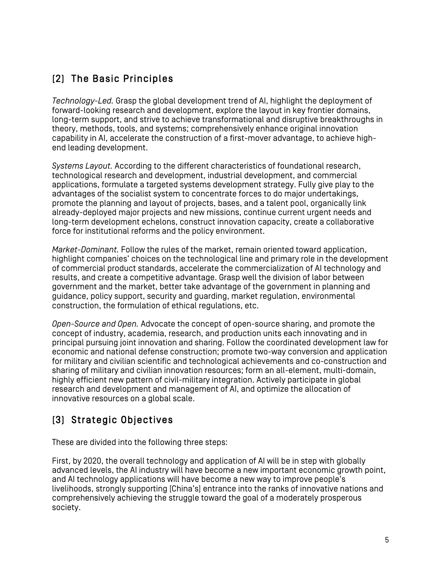# (2) The Basic Principles

*Technology-Led.* Grasp the global development trend of AI, highlight the deployment of forward-looking research and development, explore the layout in key frontier domains, long-term support, and strive to achieve transformational and disruptive breakthroughs in theory, methods, tools, and systems; comprehensively enhance original innovation capability in AI, accelerate the construction of a first-mover advantage, to achieve highend leading development.

*Systems Layout.* According to the different characteristics of foundational research, technological research and development, industrial development, and commercial applications, formulate a targeted systems development strategy. Fully give play to the advantages of the socialist system to concentrate forces to do major undertakings, promote the planning and layout of projects, bases, and a talent pool, organically link already-deployed major projects and new missions, continue current urgent needs and long-term development echelons, construct innovation capacity, create a collaborative force for institutional reforms and the policy environment.

*Market-Dominant.* Follow the rules of the market, remain oriented toward application, highlight companies' choices on the technological line and primary role in the development of commercial product standards, accelerate the commercialization of AI technology and results, and create a competitive advantage. Grasp well the division of labor between government and the market, better take advantage of the government in planning and guidance, policy support, security and guarding, market regulation, environmental construction, the formulation of ethical regulations, etc.

*Open-Source and Open.* Advocate the concept of open-source sharing, and promote the concept of industry, academia, research, and production units each innovating and in principal pursuing joint innovation and sharing. Follow the coordinated development law for economic and national defense construction; promote two-way conversion and application for military and civilian scientific and technological achievements and co-construction and sharing of military and civilian innovation resources; form an all-element, multi-domain, highly efficient new pattern of civil-military integration. Actively participate in global research and development and management of AI, and optimize the allocation of innovative resources on a global scale.

# (3) Strategic Objectives

These are divided into the following three steps:

First, by 2020, the overall technology and application of AI will be in step with globally advanced levels, the AI industry will have become a new important economic growth point, and AI technology applications will have become a new way to improve people's livelihoods, strongly supporting [China's] entrance into the ranks of innovative nations and comprehensively achieving the struggle toward the goal of a moderately prosperous society.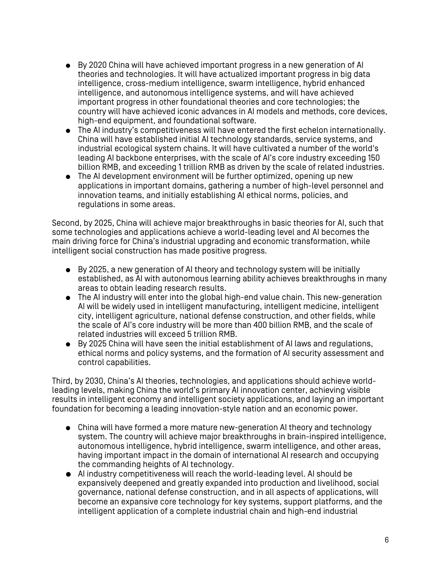- By 2020 China will have achieved important progress in a new generation of AI theories and technologies. It will have actualized important progress in big data intelligence, cross-medium intelligence, swarm intelligence, hybrid enhanced intelligence, and autonomous intelligence systems, and will have achieved important progress in other foundational theories and core technologies; the country will have achieved iconic advances in AI models and methods, core devices, high-end equipment, and foundational software.
- The AI industry's competitiveness will have entered the first echelon internationally. China will have established initial AI technology standards, service systems, and industrial ecological system chains. It will have cultivated a number of the world's leading AI backbone enterprises, with the scale of AI's core industry exceeding 150 billion RMB, and exceeding 1 trillion RMB as driven by the scale of related industries.
- The AI development environment will be further optimized, opening up new applications in important domains, gathering a number of high-level personnel and innovation teams, and initially establishing AI ethical norms, policies, and regulations in some areas.

Second, by 2025, China will achieve major breakthroughs in basic theories for AI, such that some technologies and applications achieve a world-leading level and AI becomes the main driving force for China's industrial upgrading and economic transformation, while intelligent social construction has made positive progress.

- By 2025, a new generation of AI theory and technology system will be initially established, as AI with autonomous learning ability achieves breakthroughs in many areas to obtain leading research results.
- The AI industry will enter into the global high-end value chain. This new-generation AI will be widely used in intelligent manufacturing, intelligent medicine, intelligent city, intelligent agriculture, national defense construction, and other fields, while the scale of AI's core industry will be more than 400 billion RMB, and the scale of related industries will exceed 5 trillion RMB.
- By 2025 China will have seen the initial establishment of AI laws and regulations, ethical norms and policy systems, and the formation of AI security assessment and control capabilities.

Third, by 2030, China's AI theories, technologies, and applications should achieve worldleading levels, making China the world's primary AI innovation center, achieving visible results in intelligent economy and intelligent society applications, and laying an important foundation for becoming a leading innovation-style nation and an economic power.

- China will have formed a more mature new-generation AI theory and technology system. The country will achieve major breakthroughs in brain-inspired intelligence, autonomous intelligence, hybrid intelligence, swarm intelligence, and other areas, having important impact in the domain of international AI research and occupying the commanding heights of AI technology.
- AI industry competitiveness will reach the world-leading level. AI should be expansively deepened and greatly expanded into production and livelihood, social governance, national defense construction, and in all aspects of applications, will become an expansive core technology for key systems, support platforms, and the intelligent application of a complete industrial chain and high-end industrial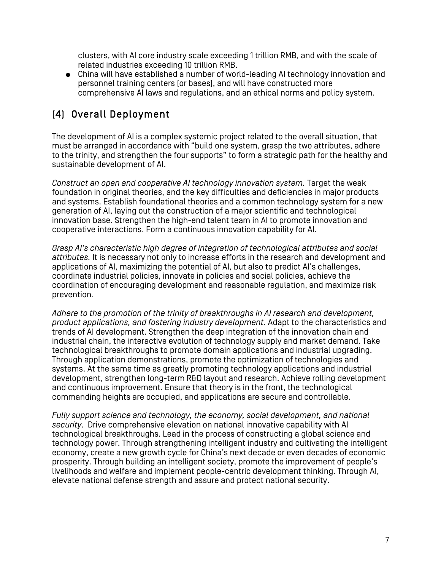clusters, with AI core industry scale exceeding 1 trillion RMB, and with the scale of related industries exceeding 10 trillion RMB.

● China will have established a number of world-leading AI technology innovation and personnel training centers (or bases), and will have constructed more comprehensive AI laws and regulations, and an ethical norms and policy system.

## (4) Overall Deployment

The development of AI is a complex systemic project related to the overall situation, that must be arranged in accordance with "build one system, grasp the two attributes, adhere to the trinity, and strengthen the four supports" to form a strategic path for the healthy and sustainable development of AI.

*Construct an open and cooperative AI technology innovation system.* Target the weak foundation in original theories, and the key difficulties and deficiencies in major products and systems. Establish foundational theories and a common technology system for a new generation of AI, laying out the construction of a major scientific and technological innovation base. Strengthen the high-end talent team in AI to promote innovation and cooperative interactions. Form a continuous innovation capability for AI.

*Grasp AI's characteristic high degree of integration of technological attributes and social attributes.* It is necessary not only to increase efforts in the research and development and applications of AI, maximizing the potential of AI, but also to predict AI's challenges, coordinate industrial policies, innovate in policies and social policies, achieve the coordination of encouraging development and reasonable regulation, and maximize risk prevention.

*Adhere to the promotion of the trinity of breakthroughs in AI research and development, product applications, and fostering industry development.* Adapt to the characteristics and trends of AI development. Strengthen the deep integration of the innovation chain and industrial chain, the interactive evolution of technology supply and market demand. Take technological breakthroughs to promote domain applications and industrial upgrading. Through application demonstrations, promote the optimization of technologies and systems. At the same time as greatly promoting technology applications and industrial development, strengthen long-term R&D layout and research. Achieve rolling development and continuous improvement. Ensure that theory is in the front, the technological commanding heights are occupied, and applications are secure and controllable.

*Fully support science and technology, the economy, social development, and national security*. Drive comprehensive elevation on national innovative capability with AI technological breakthroughs. Lead in the process of constructing a global science and technology power. Through strengthening intelligent industry and cultivating the intelligent economy, create a new growth cycle for China's next decade or even decades of economic prosperity. Through building an intelligent society, promote the improvement of people's livelihoods and welfare and implement people-centric development thinking. Through AI, elevate national defense strength and assure and protect national security.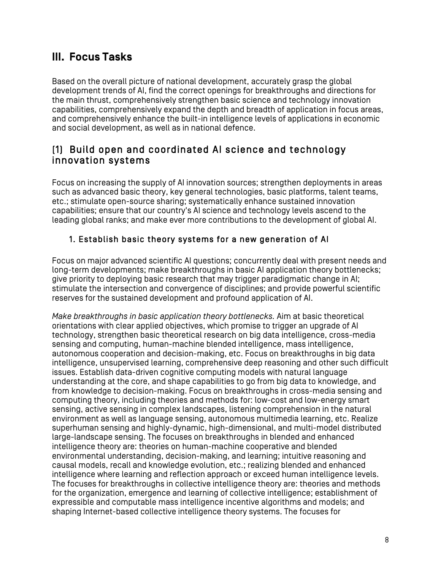# **III. Focus Tasks**

Based on the overall picture of national development, accurately grasp the global development trends of AI, find the correct openings for breakthroughs and directions for the main thrust, comprehensively strengthen basic science and technology innovation capabilities, comprehensively expand the depth and breadth of application in focus areas, and comprehensively enhance the built-in intelligence levels of applications in economic and social development, as well as in national defence.

### (1) Build open and coordinated AI science and technology innovation systems

Focus on increasing the supply of AI innovation sources; strengthen deployments in areas such as advanced basic theory, key general technologies, basic platforms, talent teams, etc.; stimulate open-source sharing; systematically enhance sustained innovation capabilities; ensure that our country's AI science and technology levels ascend to the leading global ranks; and make ever more contributions to the development of global AI.

#### 1. Establish basic theory systems for a new generation of AI

Focus on major advanced scientific AI questions; concurrently deal with present needs and long-term developments; make breakthroughs in basic AI application theory bottlenecks; give priority to deploying basic research that may trigger paradigmatic change in AI; stimulate the intersection and convergence of disciplines; and provide powerful scientific reserves for the sustained development and profound application of AI.

*Make breakthroughs in basic application theory bottlenecks.* Aim at basic theoretical orientations with clear applied objectives, which promise to trigger an upgrade of AI technology, strengthen basic theoretical research on big data intelligence, cross-media sensing and computing, human-machine blended intelligence, mass intelligence, autonomous cooperation and decision-making, etc. Focus on breakthroughs in big data intelligence, unsupervised learning, comprehensive deep reasoning and other such difficult issues. Establish data-driven cognitive computing models with natural language understanding at the core, and shape capabilities to go from big data to knowledge, and from knowledge to decision-making. Focus on breakthroughs in cross-media sensing and computing theory, including theories and methods for: low-cost and low-energy smart sensing, active sensing in complex landscapes, listening comprehension in the natural environment as well as language sensing, autonomous multimedia learning, etc. Realize superhuman sensing and highly-dynamic, high-dimensional, and multi-model distributed large-landscape sensing. The focuses on breakthroughs in blended and enhanced intelligence theory are: theories on human-machine cooperative and blended environmental understanding, decision-making, and learning; intuitive reasoning and causal models, recall and knowledge evolution, etc.; realizing blended and enhanced intelligence where learning and reflection approach or exceed human intelligence levels. The focuses for breakthroughs in collective intelligence theory are: theories and methods for the organization, emergence and learning of collective intelligence; establishment of expressible and computable mass intelligence incentive algorithms and models; and shaping Internet-based collective intelligence theory systems. The focuses for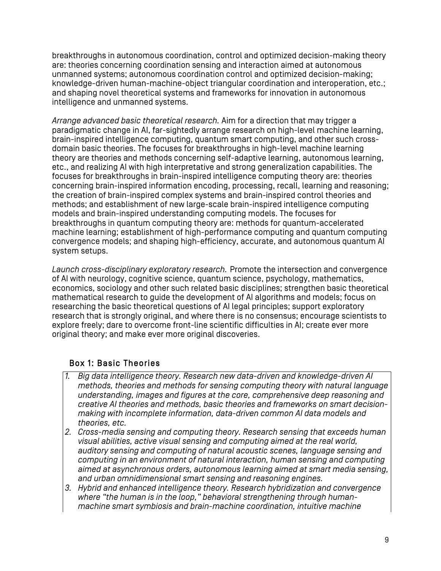breakthroughs in autonomous coordination, control and optimized decision-making theory are: theories concerning coordination sensing and interaction aimed at autonomous unmanned systems; autonomous coordination control and optimized decision-making; knowledge-driven human-machine-object triangular coordination and interoperation, etc.; and shaping novel theoretical systems and frameworks for innovation in autonomous intelligence and unmanned systems.

*Arrange advanced basic theoretical research.* Aim for a direction that may trigger a paradigmatic change in AI, far-sightedly arrange research on high-level machine learning, brain-inspired intelligence computing, quantum smart computing, and other such crossdomain basic theories. The focuses for breakthroughs in high-level machine learning theory are theories and methods concerning self-adaptive learning, autonomous learning, etc., and realizing AI with high interpretative and strong generalization capabilities. The focuses for breakthroughs in brain-inspired intelligence computing theory are: theories concerning brain-inspired information encoding, processing, recall, learning and reasoning; the creation of brain-inspired complex systems and brain-inspired control theories and methods; and establishment of new large-scale brain-inspired intelligence computing models and brain-inspired understanding computing models. The focuses for breakthroughs in quantum computing theory are: methods for quantum-accelerated machine learning; establishment of high-performance computing and quantum computing convergence models; and shaping high-efficiency, accurate, and autonomous quantum AI system setups.

*Launch cross-disciplinary exploratory research.* Promote the intersection and convergence of AI with neurology, cognitive science, quantum science, psychology, mathematics, economics, sociology and other such related basic disciplines; strengthen basic theoretical mathematical research to guide the development of AI algorithms and models; focus on researching the basic theoretical questions of AI legal principles; support exploratory research that is strongly original, and where there is no consensus; encourage scientists to explore freely; dare to overcome front-line scientific difficulties in AI; create ever more original theory; and make ever more original discoveries.

#### Box 1: Basic Theories

- *1. Big data intelligence theory. Research new data-driven and knowledge-driven AI methods, theories and methods for sensing computing theory with natural language understanding, images and figures at the core, comprehensive deep reasoning and creative AI theories and methods, basic theories and frameworks on smart decisionmaking with incomplete information, data-driven common AI data models and theories, etc.*
- *2. Cross-media sensing and computing theory. Research sensing that exceeds human visual abilities, active visual sensing and computing aimed at the real world, auditory sensing and computing of natural acoustic scenes, language sensing and computing in an environment of natural interaction, human sensing and computing aimed at asynchronous orders, autonomous learning aimed at smart media sensing, and urban omnidimensional smart sensing and reasoning engines.*
- *3. Hybrid and enhanced intelligence theory. Research hybridization and convergence where "the human is in the loop," behavioral strengthening through humanmachine smart symbiosis and brain-machine coordination, intuitive machine*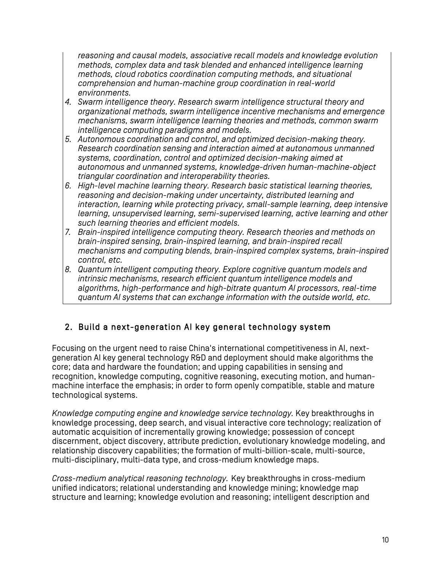*reasoning and causal models, associative recall models and knowledge evolution methods, complex data and task blended and enhanced intelligence learning methods, cloud robotics coordination computing methods, and situational comprehension and human-machine group coordination in real-world environments.*

- *4. Swarm intelligence theory. Research swarm intelligence structural theory and organizational methods, swarm intelligence incentive mechanisms and emergence mechanisms, swarm intelligence learning theories and methods, common swarm intelligence computing paradigms and models.*
- *5. Autonomous coordination and control, and optimized decision-making theory. Research coordination sensing and interaction aimed at autonomous unmanned systems, coordination, control and optimized decision-making aimed at autonomous and unmanned systems, knowledge-driven human-machine-object triangular coordination and interoperability theories.*
- *6. High-level machine learning theory. Research basic statistical learning theories, reasoning and decision-making under uncertainty, distributed learning and interaction, learning while protecting privacy, small-sample learning, deep intensive learning, unsupervised learning, semi-supervised learning, active learning and other such learning theories and efficient models.*
- *7. Brain-inspired intelligence computing theory. Research theories and methods on brain-inspired sensing, brain-inspired learning, and brain-inspired recall mechanisms and computing blends, brain-inspired complex systems, brain-inspired control, etc.*
- *8. Quantum intelligent computing theory. Explore cognitive quantum models and intrinsic mechanisms, research efficient quantum intelligence models and algorithms, high-performance and high-bitrate quantum AI processors, real-time quantum AI systems that can exchange information with the outside world, etc.*

### 2. Build a next-generation AI key general technology system

٦

Focusing on the urgent need to raise China's international competitiveness in AI, nextgeneration AI key general technology R&D and deployment should make algorithms the core; data and hardware the foundation; and upping capabilities in sensing and recognition, knowledge computing, cognitive reasoning, executing motion, and humanmachine interface the emphasis; in order to form openly compatible, stable and mature technological systems.

*Knowledge computing engine and knowledge service technology.* Key breakthroughs in knowledge processing, deep search, and visual interactive core technology; realization of automatic acquisition of incrementally growing knowledge; possession of concept discernment, object discovery, attribute prediction, evolutionary knowledge modeling, and relationship discovery capabilities; the formation of multi-billion-scale, multi-source, multi-disciplinary, multi-data type, and cross-medium knowledge maps.

*Cross-medium analytical reasoning technology.* Key breakthroughs in cross-medium unified indicators; relational understanding and knowledge mining; knowledge map structure and learning; knowledge evolution and reasoning; intelligent description and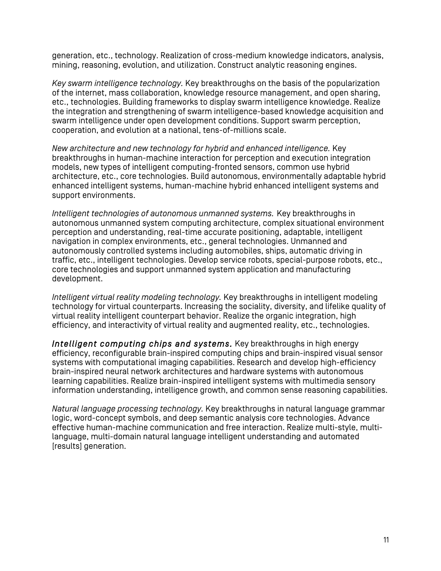generation, etc., technology. Realization of cross-medium knowledge indicators, analysis, mining, reasoning, evolution, and utilization. Construct analytic reasoning engines.

*Key swarm intelligence technology.* Key breakthroughs on the basis of the popularization of the internet, mass collaboration, knowledge resource management, and open sharing, etc., technologies. Building frameworks to display swarm intelligence knowledge. Realize the integration and strengthening of swarm intelligence-based knowledge acquisition and swarm intelligence under open development conditions. Support swarm perception, cooperation, and evolution at a national, tens-of-millions scale.

*New architecture and new technology for hybrid and enhanced intelligence.* Key breakthroughs in human-machine interaction for perception and execution integration models, new types of intelligent computing-fronted sensors, common use hybrid architecture, etc., core technologies. Build autonomous, environmentally adaptable hybrid enhanced intelligent systems, human-machine hybrid enhanced intelligent systems and support environments.

*Intelligent technologies of autonomous unmanned systems.* Key breakthroughs in autonomous unmanned system computing architecture, complex situational environment perception and understanding, real-time accurate positioning, adaptable, intelligent navigation in complex environments, etc., general technologies. Unmanned and autonomously controlled systems including automobiles, ships, automatic driving in traffic, etc., intelligent technologies. Develop service robots, special-purpose robots, etc., core technologies and support unmanned system application and manufacturing development.

*Intelligent virtual reality modeling technology.* Key breakthroughs in intelligent modeling technology for virtual counterparts. Increasing the sociality, diversity, and lifelike quality of virtual reality intelligent counterpart behavior. Realize the organic integration, high efficiency, and interactivity of virtual reality and augmented reality, etc., technologies.

*Intelligent computing chips and systems.* Key breakthroughs in high energy efficiency, reconfigurable brain-inspired computing chips and brain-inspired visual sensor systems with computational imaging capabilities. Research and develop high-efficiency brain-inspired neural network architectures and hardware systems with autonomous learning capabilities. Realize brain-inspired intelligent systems with multimedia sensory information understanding, intelligence growth, and common sense reasoning capabilities.

*Natural language processing technology.* Key breakthroughs in natural language grammar logic, word-concept symbols, and deep semantic analysis core technologies. Advance effective human-machine communication and free interaction. Realize multi-style, multilanguage, multi-domain natural language intelligent understanding and automated [results] generation.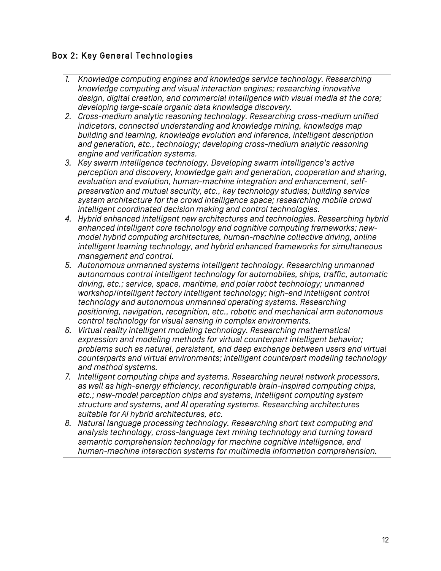#### Box 2: Key General Technologies

- **1.**  Knowledge computing engines and knowledge service technology. Researching *knowledge computing and visual interaction engines; researching innovative design, digital creation, and commercial intelligence with visual media at the core; developing large-scale organic data knowledge discovery.*
- *2. Cross-medium analytic reasoning technology. Researching cross-medium unified indicators, connected understanding and knowledge mining, knowledge map building and learning, knowledge evolution and inference, intelligent description and generation, etc., technology; developing cross-medium analytic reasoning engine and verification systems.*
- *3. Key swarm intelligence technology. Developing swarm intelligence's active perception and discovery, knowledge gain and generation, cooperation and sharing, evaluation and evolution, human-machine integration and enhancement, selfpreservation and mutual security, etc., key technology studies; building service system architecture for the crowd intelligence space; researching mobile crowd intelligent coordinated decision making and control technologies.*
- *4. Hybrid enhanced intelligent new architectures and technologies. Researching hybrid enhanced intelligent core technology and cognitive computing frameworks; newmodel hybrid computing architectures, human-machine collective driving, online intelligent learning technology, and hybrid enhanced frameworks for simultaneous management and control.*
- *5. Autonomous unmanned systems intelligent technology. Researching unmanned autonomous control intelligent technology for automobiles, ships, traffic, automatic driving, etc.; service, space, maritime, and polar robot technology; unmanned workshop/intelligent factory intelligent technology; high-end intelligent control technology and autonomous unmanned operating systems. Researching positioning, navigation, recognition, etc., robotic and mechanical arm autonomous control technology for visual sensing in complex environments.*
- *6. Virtual reality intelligent modeling technology. Researching mathematical expression and modeling methods for virtual counterpart intelligent behavior; problems such as natural, persistent, and deep exchange between users and virtual counterparts and virtual environments; intelligent counterpart modeling technology and method systems.*
- *7. Intelligent computing chips and systems. Researching neural network processors, as well as high-energy efficiency, reconfigurable brain-inspired computing chips, etc.; new-model perception chips and systems, intelligent computing system structure and systems, and AI operating systems. Researching architectures suitable for AI hybrid architectures, etc.*
- *8. Natural language processing technology. Researching short text computing and analysis technology, cross-language text mining technology and turning toward semantic comprehension technology for machine cognitive intelligence, and human-machine interaction systems for multimedia information comprehension.*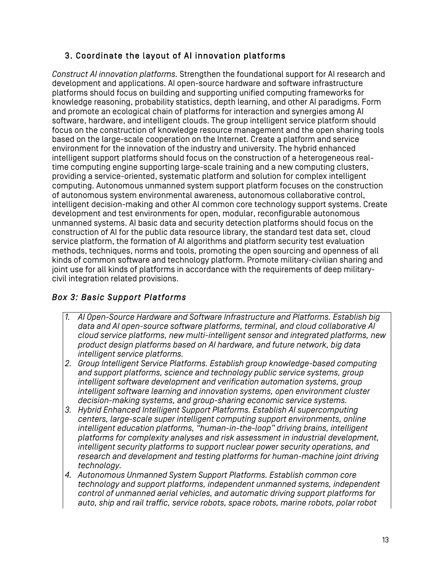### 3. Coordinate the layout of AI innovation platforms

*Construct AI innovation platforms.* Strengthen the foundational support for AI research and development and applications. AI open-source hardware and software infrastructure platforms should focus on building and supporting unified computing frameworks for knowledge reasoning, probability statistics, depth learning, and other AI paradigms. Form and promote an ecological chain of platforms for interaction and synergies among AI software, hardware, and intelligent clouds. The group intelligent service platform should focus on the construction of knowledge resource management and the open sharing tools based on the large-scale cooperation on the Internet. Create a platform and service environment for the innovation of the industry and university. The hybrid enhanced intelligent support platforms should focus on the construction of a heterogeneous realtime computing engine supporting large-scale training and a new computing clusters, providing a service-oriented, systematic platform and solution for complex intelligent computing. Autonomous unmanned system support platform focuses on the construction of autonomous system environmental awareness, autonomous collaborative control, intelligent decision-making and other AI common core technology support systems. Create development and test environments for open, modular, reconfigurable autonomous unmanned systems. AI basic data and security detection platforms should focus on the construction of AI for the public data resource library, the standard test data set, cloud service platform, the formation of AI algorithms and platform security test evaluation methods, techniques, norms and tools, promoting the open sourcing and openness of all kinds of common software and technology platform. Promote military-civilian sharing and joint use for all kinds of platforms in accordance with the requirements of deep militarycivil integration related provisions.

#### *Box 3: Basic Support Platforms*

- *1. AI Open-Source Hardware and Software Infrastructure and Platforms. Establish big data and AI open-source software platforms, terminal, and cloud collaborative AI cloud service platforms, new multi-intelligent sensor and integrated platforms, new product design platforms based on AI hardware, and future network, big data intelligent service platforms.*
- *2. Group Intelligent Service Platforms. Establish group knowledge-based computing and support platforms, science and technology public service systems, group intelligent software development and verification automation systems, group intelligent software learning and innovation systems, open environment cluster decision-making systems, and group-sharing economic service systems.*
- *3. Hybrid Enhanced Intelligent Support Platforms. Establish AI supercomputing centers, large-scale super intelligent computing support environments, online intelligent education platforms, "human-in-the-loop" driving brains, intelligent platforms for complexity analyses and risk assessment in industrial development, intelligent security platforms to support nuclear power security operations, and research and development and testing platforms for human-machine joint driving technology.*
- *4. Autonomous Unmanned System Support Platforms. Establish common core technology and support platforms, independent unmanned systems, independent control of unmanned aerial vehicles, and automatic driving support platforms for auto, ship and rail traffic, service robots, space robots, marine robots, polar robot*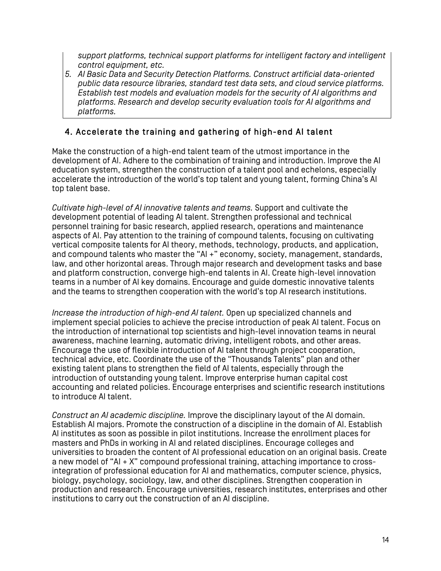*support platforms, technical support platforms for intelligent factory and intelligent control equipment, etc.*

*5. AI Basic Data and Security Detection Platforms. Construct artificial data-oriented public data resource libraries, standard test data sets, and cloud service platforms. Establish test models and evaluation models for the security of AI algorithms and platforms. Research and develop security evaluation tools for AI algorithms and platforms.*

#### 4. Accelerate the training and gathering of high-end AI talent

Make the construction of a high-end talent team of the utmost importance in the development of AI. Adhere to the combination of training and introduction. Improve the AI education system, strengthen the construction of a talent pool and echelons, especially accelerate the introduction of the world's top talent and young talent, forming China's AI top talent base.

*Cultivate high-level of AI innovative talents and teams.* Support and cultivate the development potential of leading AI talent. Strengthen professional and technical personnel training for basic research, applied research, operations and maintenance aspects of AI. Pay attention to the training of compound talents, focusing on cultivating vertical composite talents for AI theory, methods, technology, products, and application, and compound talents who master the "AI +" economy, society, management, standards, law, and other horizontal areas. Through major research and development tasks and base and platform construction, converge high-end talents in AI. Create high-level innovation teams in a number of AI key domains. Encourage and guide domestic innovative talents and the teams to strengthen cooperation with the world's top AI research institutions.

*Increase the introduction of high-end AI talent.* Open up specialized channels and implement special policies to achieve the precise introduction of peak AI talent. Focus on the introduction of international top scientists and high-level innovation teams in neural awareness, machine learning, automatic driving, intelligent robots, and other areas. Encourage the use of flexible introduction of AI talent through project cooperation, technical advice, etc. Coordinate the use of the "Thousands Talents" plan and other existing talent plans to strengthen the field of AI talents, especially through the introduction of outstanding young talent. Improve enterprise human capital cost accounting and related policies. Encourage enterprises and scientific research institutions to introduce AI talent.

*Construct an AI academic discipline.* Improve the disciplinary layout of the AI domain. Establish AI majors. Promote the construction of a discipline in the domain of AI. Establish AI institutes as soon as possible in pilot institutions. Increase the enrollment places for masters and PhDs in working in AI and related disciplines. Encourage colleges and universities to broaden the content of AI professional education on an original basis. Create a new model of "AI + X" compound professional training, attaching importance to crossintegration of professional education for AI and mathematics, computer science, physics, biology, psychology, sociology, law, and other disciplines. Strengthen cooperation in production and research. Encourage universities, research institutes, enterprises and other institutions to carry out the construction of an AI discipline.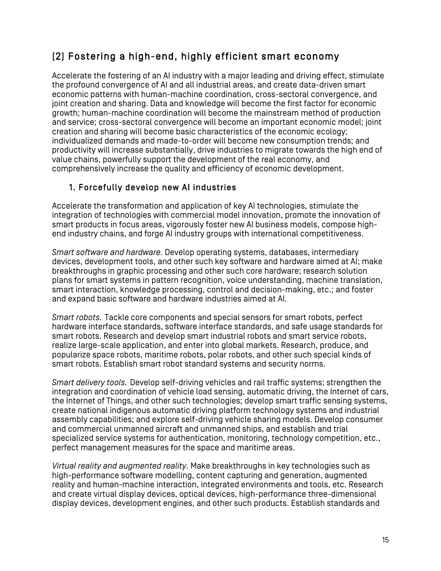## (2) Fostering a high-end, highly efficient smart economy

Accelerate the fostering of an AI industry with a major leading and driving effect, stimulate the profound convergence of AI and all industrial areas, and create data-driven smart economic patterns with human-machine coordination, cross-sectoral convergence, and joint creation and sharing. Data and knowledge will become the first factor for economic growth; human-machine coordination will become the mainstream method of production and service; cross-sectoral convergence will become an important economic model; joint creation and sharing will become basic characteristics of the economic ecology; individualized demands and made-to-order will become new consumption trends; and productivity will increase substantially, drive industries to migrate towards the high end of value chains, powerfully support the development of the real economy, and comprehensively increase the quality and efficiency of economic development.

### 1. Forcefully develop new AI industries

Accelerate the transformation and application of key AI technologies, stimulate the integration of technologies with commercial model innovation, promote the innovation of smart products in focus areas, vigorously foster new AI business models, compose highend industry chains, and forge AI industry groups with international competitiveness.

*Smart software and hardware.* Develop operating systems, databases, intermediary devices, development tools, and other such key software and hardware aimed at AI; make breakthroughs in graphic processing and other such core hardware; research solution plans for smart systems in pattern recognition, voice understanding, machine translation, smart interaction, knowledge processing, control and decision-making, etc.; and foster and expand basic software and hardware industries aimed at AI.

*Smart robots.* Tackle core components and special sensors for smart robots, perfect hardware interface standards, software interface standards, and safe usage standards for smart robots. Research and develop smart industrial robots and smart service robots, realize large-scale application, and enter into global markets. Research, produce, and popularize space robots, maritime robots, polar robots, and other such special kinds of smart robots. Establish smart robot standard systems and security norms.

*Smart delivery tools.* Develop self-driving vehicles and rail traffic systems; strengthen the integration and coordination of vehicle load sensing, automatic driving, the Internet of cars, the Internet of Things, and other such technologies; develop smart traffic sensing systems, create national indigenous automatic driving platform technology systems and industrial assembly capabilities; and explore self-driving vehicle sharing models. Develop consumer and commercial unmanned aircraft and unmanned ships, and establish and trial specialized service systems for authentication, monitoring, technology competition, etc., perfect management measures for the space and maritime areas.

*Virtual reality and augmented reality.* Make breakthroughs in key technologies such as high-performance software modelling, content capturing and generation, augmented reality and human-machine interaction, integrated environments and tools, etc. Research and create virtual display devices, optical devices, high-performance three-dimensional display devices, development engines, and other such products. Establish standards and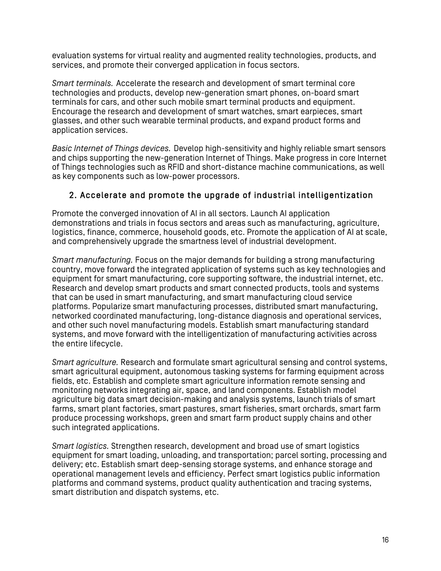evaluation systems for virtual reality and augmented reality technologies, products, and services, and promote their converged application in focus sectors.

*Smart terminals.* Accelerate the research and development of smart terminal core technologies and products, develop new-generation smart phones, on-board smart terminals for cars, and other such mobile smart terminal products and equipment. Encourage the research and development of smart watches, smart earpieces, smart glasses, and other such wearable terminal products, and expand product forms and application services.

*Basic Internet of Things devices.* Develop high-sensitivity and highly reliable smart sensors and chips supporting the new-generation Internet of Things. Make progress in core Internet of Things technologies such as RFID and short-distance machine communications, as well as key components such as low-power processors.

#### 2. Accelerate and promote the upgrade of industrial intelligentization

Promote the converged innovation of AI in all sectors. Launch AI application demonstrations and trials in focus sectors and areas such as manufacturing, agriculture, logistics, finance, commerce, household goods, etc. Promote the application of AI at scale, and comprehensively upgrade the smartness level of industrial development.

*Smart manufacturing.* Focus on the major demands for building a strong manufacturing country, move forward the integrated application of systems such as key technologies and equipment for smart manufacturing, core supporting software, the industrial internet, etc. Research and develop smart products and smart connected products, tools and systems that can be used in smart manufacturing, and smart manufacturing cloud service platforms. Popularize smart manufacturing processes, distributed smart manufacturing, networked coordinated manufacturing, long-distance diagnosis and operational services, and other such novel manufacturing models. Establish smart manufacturing standard systems, and move forward with the intelligentization of manufacturing activities across the entire lifecycle.

*Smart agriculture.* Research and formulate smart agricultural sensing and control systems, smart agricultural equipment, autonomous tasking systems for farming equipment across fields, etc. Establish and complete smart agriculture information remote sensing and monitoring networks integrating air, space, and land components. Establish model agriculture big data smart decision-making and analysis systems, launch trials of smart farms, smart plant factories, smart pastures, smart fisheries, smart orchards, smart farm produce processing workshops, green and smart farm product supply chains and other such integrated applications.

*Smart logistics.* Strengthen research, development and broad use of smart logistics equipment for smart loading, unloading, and transportation; parcel sorting, processing and delivery; etc. Establish smart deep-sensing storage systems, and enhance storage and operational management levels and efficiency. Perfect smart logistics public information platforms and command systems, product quality authentication and tracing systems, smart distribution and dispatch systems, etc.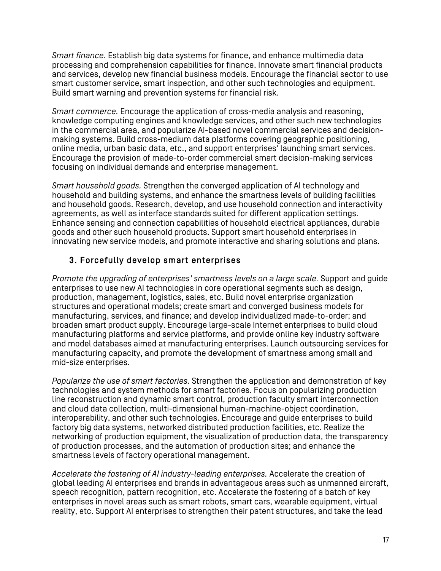*Smart finance.* Establish big data systems for finance, and enhance multimedia data processing and comprehension capabilities for finance. Innovate smart financial products and services, develop new financial business models. Encourage the financial sector to use smart customer service, smart inspection, and other such technologies and equipment. Build smart warning and prevention systems for financial risk.

*Smart commerce.* Encourage the application of cross-media analysis and reasoning, knowledge computing engines and knowledge services, and other such new technologies in the commercial area, and popularize AI-based novel commercial services and decisionmaking systems. Build cross-medium data platforms covering geographic positioning, online media, urban basic data, etc., and support enterprises' launching smart services. Encourage the provision of made-to-order commercial smart decision-making services focusing on individual demands and enterprise management.

*Smart household goods.* Strengthen the converged application of AI technology and household and building systems, and enhance the smartness levels of building facilities and household goods. Research, develop, and use household connection and interactivity agreements, as well as interface standards suited for different application settings. Enhance sensing and connection capabilities of household electrical appliances, durable goods and other such household products. Support smart household enterprises in innovating new service models, and promote interactive and sharing solutions and plans.

#### 3. Forcefully develop smart enterprises

*Promote the upgrading of enterprises' smartness levels on a large scale.* Support and guide enterprises to use new AI technologies in core operational segments such as design, production, management, logistics, sales, etc. Build novel enterprise organization structures and operational models; create smart and converged business models for manufacturing, services, and finance; and develop individualized made-to-order; and broaden smart product supply. Encourage large-scale Internet enterprises to build cloud manufacturing platforms and service platforms, and provide online key industry software and model databases aimed at manufacturing enterprises. Launch outsourcing services for manufacturing capacity, and promote the development of smartness among small and mid-size enterprises.

*Popularize the use of smart factories.* Strengthen the application and demonstration of key technologies and system methods for smart factories. Focus on popularizing production line reconstruction and dynamic smart control, production faculty smart interconnection and cloud data collection, multi-dimensional human-machine-object coordination, interoperability, and other such technologies. Encourage and guide enterprises to build factory big data systems, networked distributed production facilities, etc. Realize the networking of production equipment, the visualization of production data, the transparency of production processes, and the automation of production sites; and enhance the smartness levels of factory operational management.

*Accelerate the fostering of AI industry-leading enterprises.* Accelerate the creation of global leading AI enterprises and brands in advantageous areas such as unmanned aircraft, speech recognition, pattern recognition, etc. Accelerate the fostering of a batch of key enterprises in novel areas such as smart robots, smart cars, wearable equipment, virtual reality, etc. Support AI enterprises to strengthen their patent structures, and take the lead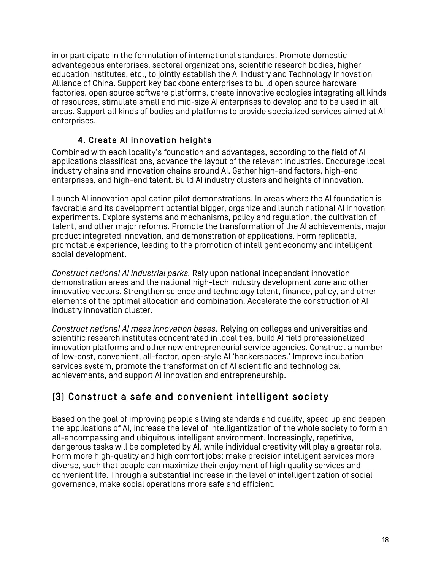in or participate in the formulation of international standards. Promote domestic advantageous enterprises, sectoral organizations, scientific research bodies. higher education institutes, etc., to jointly establish the AI Industry and Technology Innovation Alliance of China. Support key backbone enterprises to build open source hardware factories, open source software platforms, create innovative ecologies integrating all kinds of resources, stimulate small and mid-size AI enterprises to develop and to be used in all areas. Support all kinds of bodies and platforms to provide specialized services aimed at AI enterprises.

#### 4. Create AI innovation heights

Combined with each locality's foundation and advantages, according to the field of AI applications classifications, advance the layout of the relevant industries. Encourage local industry chains and innovation chains around AI. Gather high-end factors, high-end enterprises, and high-end talent. Build AI industry clusters and heights of innovation.

Launch AI innovation application pilot demonstrations. In areas where the AI foundation is favorable and its development potential bigger, organize and launch national AI innovation experiments. Explore systems and mechanisms, policy and regulation, the cultivation of talent, and other major reforms. Promote the transformation of the AI achievements, major product integrated innovation, and demonstration of applications. Form replicable, promotable experience, leading to the promotion of intelligent economy and intelligent social development.

*Construct national AI industrial parks.* Rely upon national independent innovation demonstration areas and the national high-tech industry development zone and other innovative vectors. Strengthen science and technology talent, finance, policy, and other elements of the optimal allocation and combination. Accelerate the construction of AI industry innovation cluster.

*Construct national AI mass innovation bases.* Relying on colleges and universities and scientific research institutes concentrated in localities, build AI field professionalized innovation platforms and other new entrepreneurial service agencies. Construct a number of low-cost, convenient, all-factor, open-style AI 'hackerspaces.' Improve incubation services system, promote the transformation of AI scientific and technological achievements, and support AI innovation and entrepreneurship.

### (3) Construct a safe and convenient intelligent society

Based on the goal of improving people's living standards and quality, speed up and deepen the applications of AI, increase the level of intelligentization of the whole society to form an all-encompassing and ubiquitous intelligent environment. Increasingly, repetitive, dangerous tasks will be completed by AI, while individual creativity will play a greater role. Form more high-quality and high comfort jobs; make precision intelligent services more diverse, such that people can maximize their enjoyment of high quality services and convenient life. Through a substantial increase in the level of intelligentization of social governance, make social operations more safe and efficient.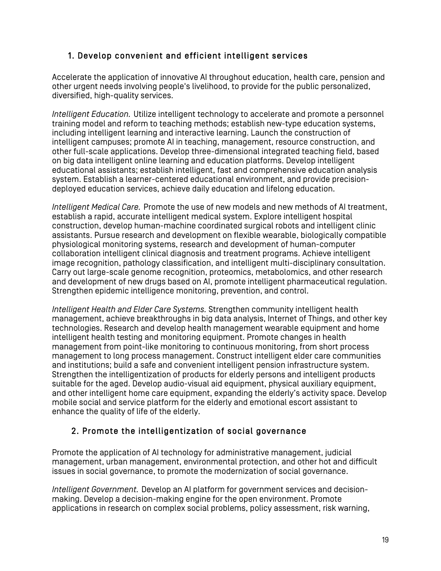#### 1. Develop convenient and efficient intelligent services

Accelerate the application of innovative AI throughout education, health care, pension and other urgent needs involving people's livelihood, to provide for the public personalized, diversified, high-quality services.

*Intelligent Education.* Utilize intelligent technology to accelerate and promote a personnel training model and reform to teaching methods; establish new-type education systems, including intelligent learning and interactive learning. Launch the construction of intelligent campuses; promote AI in teaching, management, resource construction, and other full-scale applications. Develop three-dimensional integrated teaching field, based on big data intelligent online learning and education platforms. Develop intelligent educational assistants; establish intelligent, fast and comprehensive education analysis system. Establish a learner-centered educational environment, and provide precisiondeployed education services, achieve daily education and lifelong education.

*Intelligent Medical Care.* Promote the use of new models and new methods of AI treatment, establish a rapid, accurate intelligent medical system. Explore intelligent hospital construction, develop human-machine coordinated surgical robots and intelligent clinic assistants. Pursue research and development on flexible wearable, biologically compatible physiological monitoring systems, research and development of human-computer collaboration intelligent clinical diagnosis and treatment programs. Achieve intelligent image recognition, pathology classification, and intelligent multi-disciplinary consultation. Carry out large-scale genome recognition, proteomics, metabolomics, and other research and development of new drugs based on AI, promote intelligent pharmaceutical regulation. Strengthen epidemic intelligence monitoring, prevention, and control.

*Intelligent Health and Elder Care Systems.* Strengthen community intelligent health management, achieve breakthroughs in big data analysis, Internet of Things, and other key technologies. Research and develop health management wearable equipment and home intelligent health testing and monitoring equipment. Promote changes in health management from point-like monitoring to continuous monitoring, from short process management to long process management. Construct intelligent elder care communities and institutions; build a safe and convenient intelligent pension infrastructure system. Strengthen the intelligentization of products for elderly persons and intelligent products suitable for the aged. Develop audio-visual aid equipment, physical auxiliary equipment, and other intelligent home care equipment, expanding the elderly's activity space. Develop mobile social and service platform for the elderly and emotional escort assistant to enhance the quality of life of the elderly.

#### 2. Promote the intelligentization of social governance

Promote the application of AI technology for administrative management, judicial management, urban management, environmental protection, and other hot and difficult issues in social governance, to promote the modernization of social governance.

*Intelligent Government.* Develop an AI platform for government services and decisionmaking. Develop a decision-making engine for the open environment. Promote applications in research on complex social problems, policy assessment, risk warning,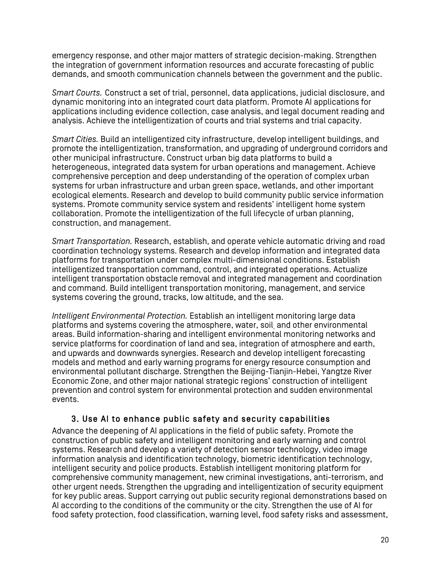emergency response, and other major matters of strategic decision-making. Strengthen the integration of government information resources and accurate forecasting of public demands, and smooth communication channels between the government and the public.

*Smart Courts.* Construct a set of trial, personnel, data applications, judicial disclosure, and dynamic monitoring into an integrated court data platform. Promote AI applications for applications including evidence collection, case analysis, and legal document reading and analysis. Achieve the intelligentization of courts and trial systems and trial capacity.

*Smart Cities.* Build an intelligentized city infrastructure, develop intelligent buildings, and promote the intelligentization, transformation, and upgrading of underground corridors and other municipal infrastructure. Construct urban big data platforms to build a heterogeneous, integrated data system for urban operations and management. Achieve comprehensive perception and deep understanding of the operation of complex urban systems for urban infrastructure and urban green space, wetlands, and other important ecological elements. Research and develop to build community public service information systems. Promote community service system and residents' intelligent home system collaboration. Promote the intelligentization of the full lifecycle of urban planning, construction, and management.

*Smart Transportation.* Research, establish, and operate vehicle automatic driving and road coordination technology systems. Research and develop information and integrated data platforms for transportation under complex multi-dimensional conditions. Establish intelligentized transportation command, control, and integrated operations. Actualize intelligent transportation obstacle removal and integrated management and coordination and command. Build intelligent transportation monitoring, management, and service systems covering the ground, tracks, low altitude, and the sea.

*Intelligent Environmental Protection.* Establish an intelligent monitoring large data platforms and systems covering the atmosphere, water, soil, and other environmental areas. Build information-sharing and intelligent environmental monitoring networks and service platforms for coordination of land and sea, integration of atmosphere and earth, and upwards and downwards synergies. Research and develop intelligent forecasting models and method and early warning programs for energy resource consumption and environmental pollutant discharge. Strengthen the Beijing-Tianjin-Hebei, Yangtze River Economic Zone, and other major national strategic regions' construction of intelligent prevention and control system for environmental protection and sudden environmental events.

#### 3. Use AI to enhance public safety and security capabilities

Advance the deepening of AI applications in the field of public safety. Promote the construction of public safety and intelligent monitoring and early warning and control systems. Research and develop a variety of detection sensor technology, video image information analysis and identification technology, biometric identification technology, intelligent security and police products. Establish intelligent monitoring platform for comprehensive community management, new criminal investigations, anti-terrorism, and other urgent needs. Strengthen the upgrading and intelligentization of security equipment for key public areas. Support carrying out public security regional demonstrations based on AI according to the conditions of the community or the city. Strengthen the use of AI for food safety protection, food classification, warning level, food safety risks and assessment,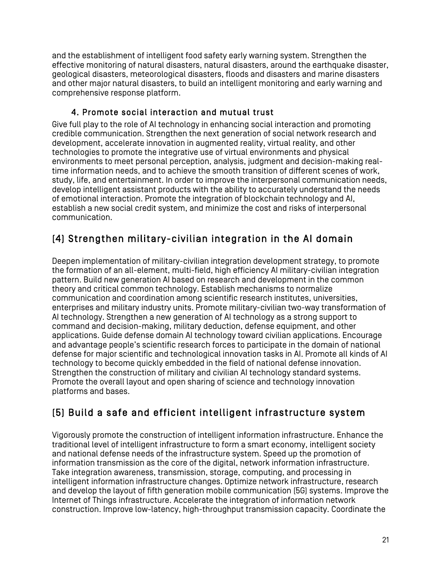and the establishment of intelligent food safety early warning system. Strengthen the effective monitoring of natural disasters, natural disasters, around the earthquake disaster, geological disasters, meteorological disasters, floods and disasters and marine disasters and other major natural disasters, to build an intelligent monitoring and early warning and comprehensive response platform.

#### 4. Promote social interaction and mutual trust

Give full play to the role of AI technology in enhancing social interaction and promoting credible communication. Strengthen the next generation of social network research and development, accelerate innovation in augmented reality, virtual reality, and other technologies to promote the integrative use of virtual environments and physical environments to meet personal perception, analysis, judgment and decision-making realtime information needs, and to achieve the smooth transition of different scenes of work, study, life, and entertainment. In order to improve the interpersonal communication needs, develop intelligent assistant products with the ability to accurately understand the needs of emotional interaction. Promote the integration of blockchain technology and AI, establish a new social credit system, and minimize the cost and risks of interpersonal communication.

## (4) Strengthen military-civilian integration in the AI domain

Deepen implementation of military-civilian integration development strategy, to promote the formation of an all-element, multi-field, high efficiency AI military-civilian integration pattern. Build new generation AI based on research and development in the common theory and critical common technology. Establish mechanisms to normalize communication and coordination among scientific research institutes, universities, enterprises and military industry units. Promote military-civilian two-way transformation of AI technology. Strengthen a new generation of AI technology as a strong support to command and decision-making, military deduction, defense equipment, and other applications. Guide defense domain AI technology toward civilian applications. Encourage and advantage people's scientific research forces to participate in the domain of national defense for major scientific and technological innovation tasks in AI. Promote all kinds of AI technology to become quickly embedded in the field of national defense innovation. Strengthen the construction of military and civilian AI technology standard systems. Promote the overall layout and open sharing of science and technology innovation platforms and bases.

## (5) Build a safe and efficient intelligent infrastructure system

Vigorously promote the construction of intelligent information infrastructure. Enhance the traditional level of intelligent infrastructure to form a smart economy, intelligent society and national defense needs of the infrastructure system. Speed up the promotion of information transmission as the core of the digital, network information infrastructure. Take integration awareness, transmission, storage, computing, and processing in intelligent information infrastructure changes. Optimize network infrastructure, research and develop the layout of fifth generation mobile communication (5G) systems. Improve the Internet of Things infrastructure. Accelerate the integration of information network construction. Improve low-latency, high-throughput transmission capacity. Coordinate the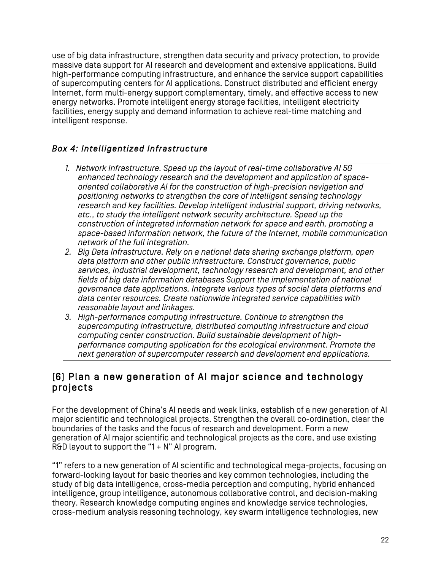use of big data infrastructure, strengthen data security and privacy protection, to provide massive data support for AI research and development and extensive applications. Build high-performance computing infrastructure, and enhance the service support capabilities of supercomputing centers for AI applications. Construct distributed and efficient energy Internet, form multi-energy support complementary, timely, and effective access to new energy networks. Promote intelligent energy storage facilities, intelligent electricity facilities, energy supply and demand information to achieve real-time matching and intelligent response.

#### *Box 4: Intelligentized Infrastructure*

- *1. Network Infrastructure. Speed up the layout of real-time collaborative AI 5G enhanced technology research and the development and application of spaceoriented collaborative AI for the construction of high-precision navigation and positioning networks to strengthen the core of intelligent sensing technology research and key facilities. Develop intelligent industrial support, driving networks, etc., to study the intelligent network security architecture. Speed up the construction of integrated information network for space and earth, promoting a space-based information network, the future of the Internet, mobile communication network of the full integration.*
- *2. Big Data Infrastructure. Rely on a national data sharing exchange platform, open data platform and other public infrastructure. Construct governance, public services, industrial development, technology research and development, and other fields of big data information databases Support the implementation of national governance data applications. Integrate various types of social data platforms and data center resources. Create nationwide integrated service capabilities with reasonable layout and linkages.*
- *3. High-performance computing infrastructure. Continue to strengthen the supercomputing infrastructure, distributed computing infrastructure and cloud computing center construction. Build sustainable development of highperformance computing application for the ecological environment. Promote the next generation of supercomputer research and development and applications.*

### (6) Plan a new generation of AI major science and technology projects

For the development of China's AI needs and weak links, establish of a new generation of AI major scientific and technological projects. Strengthen the overall co-ordination, clear the boundaries of the tasks and the focus of research and development. Form a new generation of AI major scientific and technological projects as the core, and use existing R&D layout to support the "1  $+$  N" AI program.

"1" refers to a new generation of AI scientific and technological mega-projects, focusing on forward-looking layout for basic theories and key common technologies, including the study of big data intelligence, cross-media perception and computing, hybrid enhanced intelligence, group intelligence, autonomous collaborative control, and decision-making theory. Research knowledge computing engines and knowledge service technologies, cross-medium analysis reasoning technology, key swarm intelligence technologies, new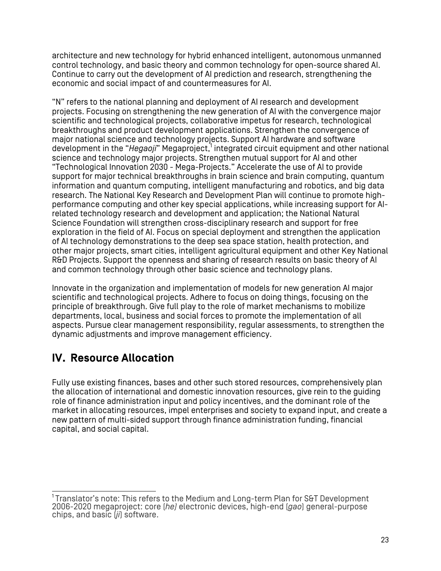architecture and new technology for hybrid enhanced intelligent, autonomous unmanned control technology, and basic theory and common technology for open-source shared AI. Continue to carry out the development of AI prediction and research, strengthening the economic and social impact of and countermeasures for AI.

"N" refers to the national planning and deployment of AI research and development projects. Focusing on strengthening the new generation of AI with the convergence major scientific and technological projects, collaborative impetus for research, technological breakthroughs and product development applications. Strengthen the convergence of major national science and technology projects. Support AI hardware and software development in the "*Hegaoji*" Megaproject,<sup>1</sup> integrated circuit equipment and other national science and technology major projects. Strengthen mutual support for AI and other "Technological Innovation 2030 - Mega-Projects." Accelerate the use of AI to provide support for major technical breakthroughs in brain science and brain computing, quantum information and quantum computing, intelligent manufacturing and robotics, and big data research. The National Key Research and Development Plan will continue to promote highperformance computing and other key special applications, while increasing support for AIrelated technology research and development and application; the National Natural Science Foundation will strengthen cross-disciplinary research and support for free exploration in the field of AI. Focus on special deployment and strengthen the application of AI technology demonstrations to the deep sea space station, health protection, and other major projects, smart cities, intelligent agricultural equipment and other Key National R&D Projects. Support the openness and sharing of research results on basic theory of AI and common technology through other basic science and technology plans.

Innovate in the organization and implementation of models for new generation AI major scientific and technological projects. Adhere to focus on doing things, focusing on the principle of breakthrough. Give full play to the role of market mechanisms to mobilize departments, local, business and social forces to promote the implementation of all aspects. Pursue clear management responsibility, regular assessments, to strengthen the dynamic adjustments and improve management efficiency.

# **IV. Resource Allocation**

Fully use existing finances, bases and other such stored resources, comprehensively plan the allocation of international and domestic innovation resources, give rein to the guiding role of finance administration input and policy incentives, and the dominant role of the market in allocating resources, impel enterprises and society to expand input, and create a new pattern of multi-sided support through finance administration funding, financial capital, and social capital.

<sup>-&</sup>lt;br>1  $1$ Translator's note: This refers to the Medium and Long-term Plan for S&T Development 2006-2020 megaproject: core (*he)* electronic devices, high-end (*gao*) general-purpose chips, and basic (*ji*) software.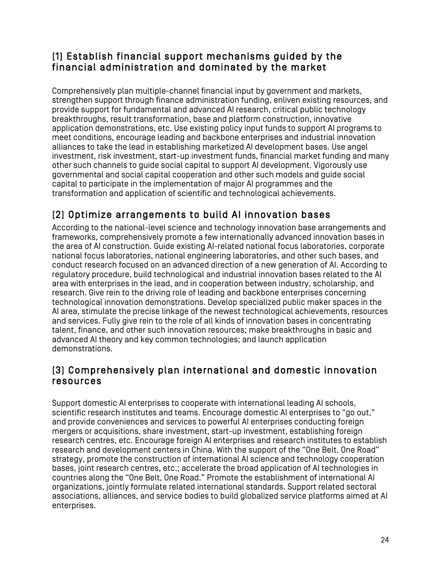### (1) Establish financial support mechanisms guided by the financial administration and dominated by the market

Comprehensively plan multiple-channel financial input by government and markets, strengthen support through finance administration funding, enliven existing resources, and provide support for fundamental and advanced AI research, critical public technology breakthroughs, result transformation, base and platform construction, innovative application demonstrations, etc. Use existing policy input funds to support AI programs to meet conditions, encourage leading and backbone enterprises and industrial innovation alliances to take the lead in establishing marketized AI development bases. Use angel investment, risk investment, start-up investment funds, financial market funding and many other such channels to guide social capital to support AI development. Vigorously use governmental and social capital cooperation and other such models and guide social capital to participate in the implementation of major AI programmes and the transformation and application of scientific and technological achievements.

## (2) Optimize arrangements to build AI innovation bases

According to the national-level science and technology innovation base arrangements and frameworks, comprehensively promote a few internationally advanced innovation bases in the area of AI construction. Guide existing AI-related national focus laboratories, corporate national focus laboratories, national engineering laboratories, and other such bases, and conduct research focused on an advanced direction of a new generation of AI. According to regulatory procedure, build technological and industrial innovation bases related to the AI area with enterprises in the lead, and in cooperation between industry, scholarship, and research. Give rein to the driving role of leading and backbone enterprises concerning technological innovation demonstrations. Develop specialized public maker spaces in the AI area, stimulate the precise linkage of the newest technological achievements, resources and services. Fully give rein to the role of all kinds of innovation bases in concentrating talent, finance, and other such innovation resources; make breakthroughs in basic and advanced AI theory and key common technologies; and launch application demonstrations.

### (3) Comprehensively plan international and domestic innovation resources

Support domestic AI enterprises to cooperate with international leading AI schools, scientific research institutes and teams. Encourage domestic AI enterprises to "go out," and provide conveniences and services to powerful AI enterprises conducting foreign mergers or acquisitions, share investment, start-up investment, establishing foreign research centres, etc. Encourage foreign AI enterprises and research institutes to establish research and development centers in China. With the support of the "One Belt, One Road" strategy, promote the construction of international AI science and technology cooperation bases, joint research centres, etc.; accelerate the broad application of AI technologies in countries along the "One Belt, One Road." Promote the establishment of international AI organizations, jointly formulate related international standards. Support related sectoral associations, alliances, and service bodies to build globalized service platforms aimed at AI enterprises.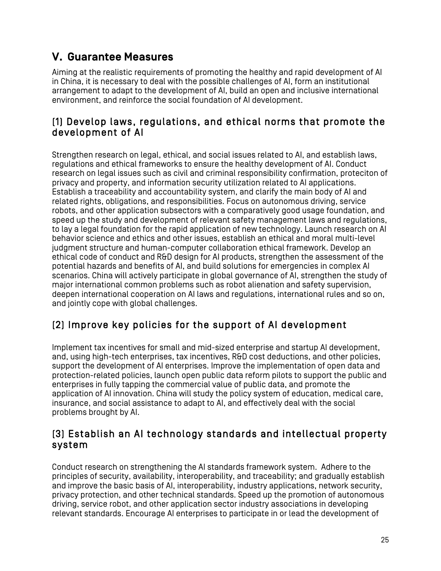# **V. Guarantee Measures**

Aiming at the realistic requirements of promoting the healthy and rapid development of AI in China, it is necessary to deal with the possible challenges of AI, form an institutional arrangement to adapt to the development of AI, build an open and inclusive international environment, and reinforce the social foundation of AI development.

### (1) Develop laws, regulations, and ethical norms that promote the development of AI

Strengthen research on legal, ethical, and social issues related to AI, and establish laws, regulations and ethical frameworks to ensure the healthy development of AI. Conduct research on legal issues such as civil and criminal responsibility confirmation, proteciton of privacy and property, and information security utilization related to AI applications. Establish a traceability and accountability system, and clarify the main body of AI and related rights, obligations, and responsibilities. Focus on autonomous driving, service robots, and other application subsectors with a comparatively good usage foundation, and speed up the study and development of relevant safety management laws and regulations, to lay a legal foundation for the rapid application of new technology. Launch research on AI behavior science and ethics and other issues, establish an ethical and moral multi-level judgment structure and human-computer collaboration ethical framework. Develop an ethical code of conduct and R&D design for AI products, strengthen the assessment of the potential hazards and benefits of AI, and build solutions for emergencies in complex AI scenarios. China will actively participate in global governance of AI, strengthen the study of major international common problems such as robot alienation and safety supervision, deepen international cooperation on AI laws and regulations, international rules and so on, and jointly cope with global challenges.

# (2) Improve key policies for the support of AI development

Implement tax incentives for small and mid-sized enterprise and startup AI development, and, using high-tech enterprises, tax incentives, R&D cost deductions, and other policies, support the development of AI enterprises. Improve the implementation of open data and protection-related policies, launch open public data reform pilots to support the public and enterprises in fully tapping the commercial value of public data, and promote the application of AI innovation. China will study the policy system of education, medical care, insurance, and social assistance to adapt to AI, and effectively deal with the social problems brought by AI.

### (3) Establish an AI technology standards and intellectual property system

Conduct research on strengthening the AI standards framework system. Adhere to the principles of security, availability, interoperability, and traceability; and gradually establish and improve the basic basis of AI, interoperability, industry applications, network security, privacy protection, and other technical standards. Speed up the promotion of autonomous driving, service robot, and other application sector industry associations in developing relevant standards. Encourage AI enterprises to participate in or lead the development of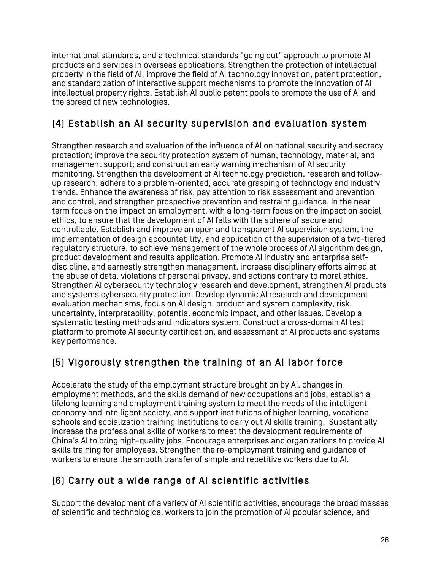international standards, and a technical standards "going out" approach to promote AI products and services in overseas applications. Strengthen the protection of intellectual property in the field of AI, improve the field of AI technology innovation, patent protection, and standardization of interactive support mechanisms to promote the innovation of AI intellectual property rights. Establish AI public patent pools to promote the use of AI and the spread of new technologies.

## (4) Establish an AI security supervision and evaluation system

Strengthen research and evaluation of the influence of AI on national security and secrecy protection; improve the security protection system of human, technology, material, and management support; and construct an early warning mechanism of AI security monitoring. Strengthen the development of AI technology prediction, research and followup research, adhere to a problem-oriented, accurate grasping of technology and industry trends. Enhance the awareness of risk, pay attention to risk assessment and prevention and control, and strengthen prospective prevention and restraint guidance. In the near term focus on the impact on employment, with a long-term focus on the impact on social ethics, to ensure that the development of AI falls with the sphere of secure and controllable. Establish and improve an open and transparent AI supervision system, the implementation of design accountability, and application of the supervision of a two-tiered regulatory structure, to achieve management of the whole process of AI algorithm design, product development and results application. Promote AI industry and enterprise selfdiscipline, and earnestly strengthen management, increase disciplinary efforts aimed at the abuse of data, violations of personal privacy, and actions contrary to moral ethics. Strengthen AI cybersecurity technology research and development, strengthen AI products and systems cybersecurity protection. Develop dynamic AI research and development evaluation mechanisms, focus on AI design, product and system complexity, risk, uncertainty, interpretability, potential economic impact, and other issues. Develop a systematic testing methods and indicators system. Construct a cross-domain AI test platform to promote AI security certification, and assessment of AI products and systems key performance.

## (5) Vigorously strengthen the training of an AI labor force

Accelerate the study of the employment structure brought on by AI, changes in employment methods, and the skills demand of new occupations and jobs, establish a lifelong learning and employment training system to meet the needs of the intelligent economy and intelligent society, and support institutions of higher learning, vocational schools and socialization training Institutions to carry out AI skills training. Substantially increase the professional skills of workers to meet the development requirements of China's AI to bring high-quality jobs. Encourage enterprises and organizations to provide AI skills training for employees. Strengthen the re-employment training and guidance of workers to ensure the smooth transfer of simple and repetitive workers due to AI.

### (6) Carry out a wide range of AI scientific activities

Support the development of a variety of AI scientific activities, encourage the broad masses of scientific and technological workers to join the promotion of AI popular science, and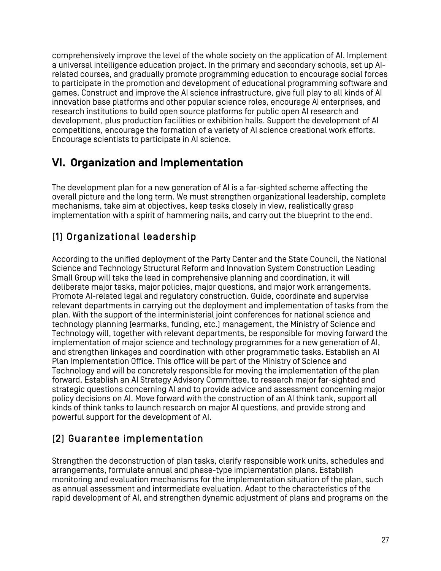comprehensively improve the level of the whole society on the application of AI. Implement a universal intelligence education project. In the primary and secondary schools, set up AIrelated courses, and gradually promote programming education to encourage social forces to participate in the promotion and development of educational programming software and games. Construct and improve the AI science infrastructure, give full play to all kinds of AI innovation base platforms and other popular science roles, encourage AI enterprises, and research institutions to build open source platforms for public open AI research and development, plus production facilities or exhibition halls. Support the development of AI competitions, encourage the formation of a variety of AI science creational work efforts. Encourage scientists to participate in AI science.

# **VI. Organization and Implementation**

The development plan for a new generation of AI is a far-sighted scheme affecting the overall picture and the long term. We must strengthen organizational leadership, complete mechanisms, take aim at objectives, keep tasks closely in view, realistically grasp implementation with a spirit of hammering nails, and carry out the blueprint to the end.

# (1) Organizational leadership

According to the unified deployment of the Party Center and the State Council, the National Science and Technology Structural Reform and Innovation System Construction Leading Small Group will take the lead in comprehensive planning and coordination, it will deliberate major tasks, major policies, major questions, and major work arrangements. Promote AI-related legal and regulatory construction. Guide, coordinate and supervise relevant departments in carrying out the deployment and implementation of tasks from the plan. With the support of the interministerial joint conferences for national science and technology planning (earmarks, funding, etc.) management, the Ministry of Science and Technology will, together with relevant departments, be responsible for moving forward the implementation of major science and technology programmes for a new generation of AI, and strengthen linkages and coordination with other programmatic tasks. Establish an AI Plan Implementation Office. This office will be part of the Ministry of Science and Technology and will be concretely responsible for moving the implementation of the plan forward. Establish an AI Strategy Advisory Committee, to research major far-sighted and strategic questions concerning AI and to provide advice and assessment concerning major policy decisions on AI. Move forward with the construction of an AI think tank, support all kinds of think tanks to launch research on major AI questions, and provide strong and powerful support for the development of AI.

# (2) Guarantee implementation

Strengthen the deconstruction of plan tasks, clarify responsible work units, schedules and arrangements, formulate annual and phase-type implementation plans. Establish monitoring and evaluation mechanisms for the implementation situation of the plan, such as annual assessment and intermediate evaluation. Adapt to the characteristics of the rapid development of AI, and strengthen dynamic adjustment of plans and programs on the